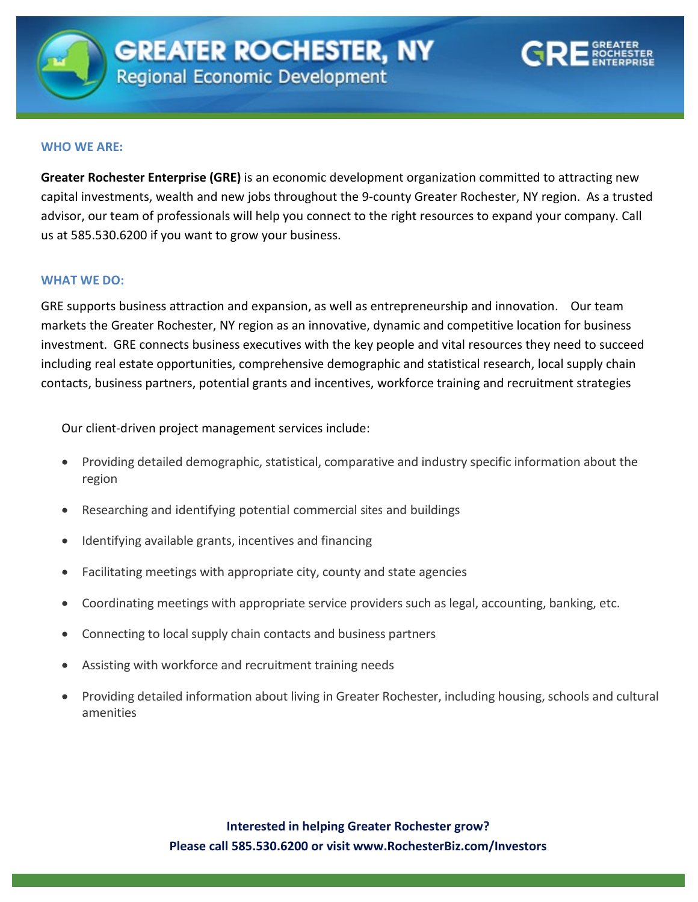

## **WHO WE ARE:**

advisor, our team of professionals will help you connect to the right resources to expand your company. Call<br>interest to the right resources to expand your company. Call **Greater Rochester Enterprise (GRE)** is an economic development organization committed to attracting new capital investments, wealth and new jobs throughout the 9-county Greater Rochester, NY region. As a trusted us at 585.530.6200 if you want to grow your business.

## **WHAT WE DO:**

GRE supports business attraction and expansion, as well as entrepreneurship and innovation. Our team markets the Greater Rochester, NY region as an innovative, dynamic and competitive location for business investment. GRE connects business executives with the key people and vital resources they need to succeed including real estate opportunities, comprehensive demographic and statistical research, local supply chain contacts, business partners, potential grants and incentives, workforce training and recruitment strategies

Our client-driven project management services include:

- Providing detailed demographic, statistical, comparative and industry specific information about the region
- Researching and identifying potential commercial sites and buildings
- Identifying available grants, incentives and financing
- Facilitating meetings with appropriate city, county and state agencies
- Coordinating meetings with appropriate service providers such as legal, accounting, banking, etc.
- Connecting to local supply chain contacts and business partners
- Assisting with workforce and recruitment training needs
- Providing detailed information about living in Greater Rochester, including housing, schools and cultural amenities

**Interested in helping Greater Rochester grow? Please call 585.530.6200 or visit www.RochesterBiz.com/Investors**